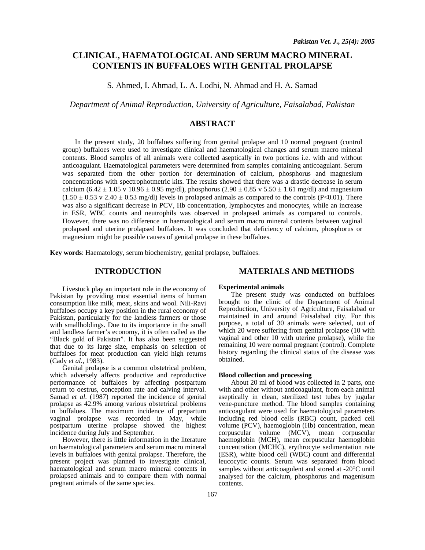# **CLINICAL, HAEMATOLOGICAL AND SERUM MACRO MINERAL CONTENTS IN BUFFALOES WITH GENITAL PROLAPSE**

S. Ahmed, I. Ahmad, L. A. Lodhi, N. Ahmad and H. A. Samad

*Department of Animal Reproduction, University of Agriculture, Faisalabad, Pakistan* 

# **ABSTRACT**

In the present study, 20 buffaloes suffering from genital prolapse and 10 normal pregnant (control group) buffaloes were used to investigate clinical and haematological changes and serum macro mineral contents. Blood samples of all animals were collected aseptically in two portions i.e. with and without anticoagulant. Haematological parameters were determined from samples containing anticoagulant. Serum was separated from the other portion for determination of calcium, phosphorus and magnesium concentrations with spectrophotmetric kits. The results showed that there was a drastic decrease in serum calcium (6.42  $\pm$  1.05 v 10.96  $\pm$  0.95 mg/dl), phosphorus (2.90  $\pm$  0.85 v 5.50  $\pm$  1.61 mg/dl) and magnesium  $(1.50 \pm 0.53 \text{ y } 2.40 \pm 0.53 \text{ mg/d})$  levels in prolapsed animals as compared to the controls (P<0.01). There was also a significant decrease in PCV, Hb concentration, lymphocytes and monocytes, while an increase in ESR, WBC counts and neutrophils was observed in prolapsed animals as compared to controls. However, there was no difference in haematological and serum macro mineral contents between vaginal prolapsed and uterine prolapsed buffaloes. It was concluded that deficiency of calcium, phosphorus or magnesium might be possible causes of genital prolapse in these buffaloes.

**Key words**: Haematology, serum biochemistry, genital prolapse, buffaloes.

# **INTRODUCTION**

 Livestock play an important role in the economy of Pakistan by providing most essential items of human consumption like milk, meat, skins and wool. Nili-Ravi buffaloes occupy a key position in the rural economy of Pakistan, particularly for the landless farmers or those with smallholdings. Due to its importance in the small and landless farmer's economy, it is often called as the "Black gold of Pakistan". It has also been suggested that due to its large size, emphasis on selection of buffaloes for meat production can yield high returns (Cady *et al*., 1983).

Genital prolapse is a common obstetrical problem, which adversely affects productive and reproductive performance of buffaloes by affecting postpartum return to oestrus, conception rate and calving interval. Samad *et al*. (1987) reported the incidence of genital prolapse as 42.9% among various obstetrical problems in buffaloes. The maximum incidence of prepartum vaginal prolapse was recorded in May, while postpartum uterine prolapse showed the highest incidence during July and September.

However, there is little information in the literature on haematological parameters and serum macro mineral levels in buffaloes with genital prolapse. Therefore, the present project was planned to investigate clinical, haematological and serum macro mineral contents in prolapsed animals and to compare them with normal pregnant animals of the same species.

# **MATERIALS AND METHODS**

#### **Experimental animals**

The present study was conducted on buffaloes brought to the clinic of the Department of Animal Reproduction, University of Agriculture, Faisalabad or maintained in and around Faisalabad city. For this purpose, a total of 30 animals were selected, out of which 20 were suffering from genital prolapse (10 with vaginal and other 10 with uterine prolapse), while the remaining 10 were normal pregnant (control). Complete history regarding the clinical status of the disease was obtained.

### **Blood collection and processing**

About 20 ml of blood was collected in 2 parts, one with and other without anticoagulant, from each animal aseptically in clean, sterilized test tubes by jugular vene-puncture method. The blood samples containing anticoagulant were used for haematological parameters including red blood cells (RBC) count, packed cell volume (PCV), haemoglobin (Hb) concentration, mean corpuscular volume (MCV), mean corpuscular haemoglobin (MCH), mean corpuscular haemoglobin concentration (MCHC), erythrocyte sedimentation rate (ESR), white blood cell (WBC) count and differential leucocytic counts. Serum was separated from blood samples without anticoagulent and stored at -20°C until analysed for the calcium, phosphorus and magenisum contents.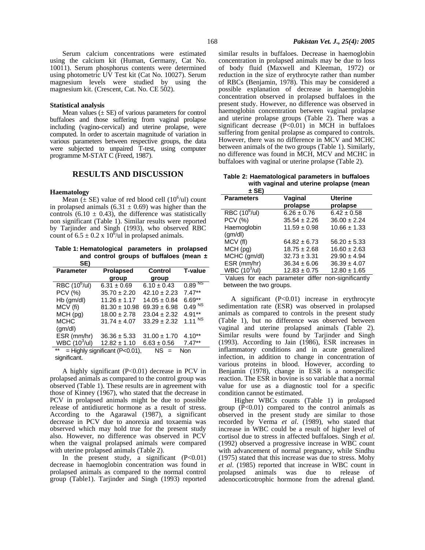Serum calcium concentrations were estimated using the calcium kit (Human, Germany, Cat No. 10011). Serum phosphorus contents were determined using photometric UV Test kit (Cat No. 10027). Serum magnesium levels were studied by using the magnesium kit. (Crescent, Cat. No. CE 502).

#### **Statistical analysis**

Mean values  $(\pm SE)$  of various parameters for control buffaloes and those suffering from vaginal prolapse including (vagino-cervical) and uterine prolapse, were computed. In order to ascertain magnitude of variation in various parameters between respective groups, the data were subjected to unpaired T-test, using computer programme M-STAT C (Freed, 1987).

### **RESULTS AND DISCUSSION**

#### **Haematology**

Mean  $(E$  SE) value of red blood cell (10<sup>6</sup>/ul) count in prolapsed animals (6.31  $\pm$  0.69) was higher than the controls  $(6.10 \pm 0.43)$ , the difference was statistically non significant (Table 1). Similar results were reported by Tarjinder and Singh (1993), who observed RBC count of  $6.5 \pm 0.2 \times 10^6$ /ul in prolapsed animals.

**Table 1: Hematological parameters in prolapsed and control groups of buffaloes (mean ± SE)** 

| --                     |                                  |                  |                    |
|------------------------|----------------------------------|------------------|--------------------|
| <b>Parameter</b>       | <b>Prolapsed</b>                 | Control          | <b>T-value</b>     |
|                        | group                            | group            |                    |
| $RBC(10^6/ul)$         | $6.31 \pm 0.69$                  | $6.10 \pm 0.43$  | $0.89^{N_S}$       |
| PCV (%)                | $35.70 \pm 2.20$                 | $42.10 \pm 2.23$ | $7.47**$           |
| $Hb$ (gm/dl)           | $11.26 \pm 1.17$                 | $14.05 \pm 0.84$ | $6.69**$           |
| MCV (fi)               | $81.30 \pm 10.98$                | $69.39 \pm 6.98$ | 0.49 <sup>NS</sup> |
| MCH (pg)               | $18.00 \pm 2.78$                 | $23.04 \pm 2.32$ | $4.91**$           |
| <b>MCHC</b>            | $31.74 \pm 4.07$                 | $33.29 \pm 2.32$ | $1.11^{NS}$        |
| (am/dl)                |                                  |                  |                    |
| ESR (mm/hr)            | $36.36 \pm 5.33$                 | $31.00 \pm 1.70$ | $4.10**$           |
| WBC $(10^3/\text{ul})$ | $12.82 \pm 1.10$                 | $6.63 \pm 0.56$  | $7.47**$           |
| $***$                  | $=$ Highly significant (P<0.01), | NS.<br>$=$       | Non                |
| significant.           |                                  |                  |                    |

A highly significant (P<0.01) decrease in PCV in prolapsed animals as compared to the control group was observed (Table 1). These results are in agreement with those of Kinney (1967), who stated that the decrease in PCV in prolapsed animals might be due to possible release of antidiuretic hormone as a result of stress. According to the Agarawal (1987), a significant decrease in PCV due to anorexia and toxaemia was observed which may hold true for the present study also. However, no difference was observed in PCV when the vaignal prolapsed animals were compared with uterine prolapsed animals (Table 2).

In the present study, a significant  $(P<0.01)$ decrease in haemoglobin concentration was found in prolapsed animals as compared to the normal control group (Table1). Tarjinder and Singh (1993) reported similar results in buffaloes. Decrease in haemoglobin concentration in prolapsed animals may be due to loss of body fluid (Maxwell and Kleeman, 1972) or reduction in the size of erythrocyte rather than number of RBCs (Benjamin, 1978). This may be considered a possible explanation of decrease in haemoglobin concentration observed in prolapsed buffaloes in the present study. However, no difference was observed in haemoglobin concentration between vaginal prolapse and uterine prolapse groups (Table 2). There was a significant decrease  $(P<0.01)$  in MCH in buffaloes suffering from genital prolapse as compared to controls. However, there was no difference in MCV and MCHC between animals of the two groups (Table 1). Similarly, no difference was found in MCH, MCV and MCHC in buffaloes with vaginal or uterine prolapse (Table 2).

**Table 2: Haematological parameters in buffaloes with vaginal and uterine prolapse (mean**

| ± SE)                     |                     |                            |
|---------------------------|---------------------|----------------------------|
| <b>Parameters</b>         | Vaginal<br>prolapse | <b>Uterine</b><br>prolapse |
| RBC (10 <sup>6</sup> /ul) | $6.26 \pm 0.76$     | $6.42 \pm 0.58$            |
| <b>PCV (%)</b>            | $35.54 \pm 2.26$    | $36.00 \pm 2.24$           |
| Haemoglobin               | $11.59 \pm 0.98$    | $10.66 \pm 1.33$           |
| (gm/dl)                   |                     |                            |
| MCV (fl)                  | $64.82 \pm 6.73$    | $56.20 \pm 5.33$           |
| MCH(pg)                   | $18.75 \pm 2.68$    | $16.60 \pm 2.63$           |
| MCHC (gm/dl)              | $32.73 \pm 3.31$    | $29.90 \pm 4.94$           |
| ESR (mm/hr)               | $36.34 \pm 6.06$    | $36.39 \pm 4.07$           |
| WBC $(10^3/\text{ul})$    | $12.83 \pm 0.75$    | $12.80 \pm 1.65$           |
| عاممت برمة المماريات      | ممكك ومدمسمين       | والمستحدث كالمرساء المرجا  |

Values for each parameter differ non-significantly between the two groups.

A significant  $(P<0.01)$  increase in erythrocyte sedimentation rate (ESR) was observed in prolapsed animals as compared to controls in the present study (Table 1), but no difference was observed between vaginal and uterine prolapsed animals (Table 2). Similar results were found by Tarjinder and Singh (1993). According to Jain (1986), ESR increases in inflammatory conditions and in acute generalized infection, in addition to change in concentration of various proteins in blood. However, according to Benjamin (1978), change in ESR is a nonspecific reaction. The ESR in bovine is so variable that a normal value for use as a diagnostic tool for a specific condition cannot be estimated.

Higher WBCs counts (Table 1) in prolapsed group  $(P<0.01)$  compared to the control animals as observed in the present study are similar to those recorded by Verma *et al*. (1989), who stated that increase in WBC could be a result of higher level of cortisol due to stress in affected buffaloes. Singh *et al*. (1992) observed a progressive increase in WBC count with advancement of normal pregnancy, while Sindhu (1975) stated that this increase was due to stress. Mohy *et al*. (1985) reported that increase in WBC count in prolapsed animals was due to release of adenocorticotrophic hormone from the adrenal gland.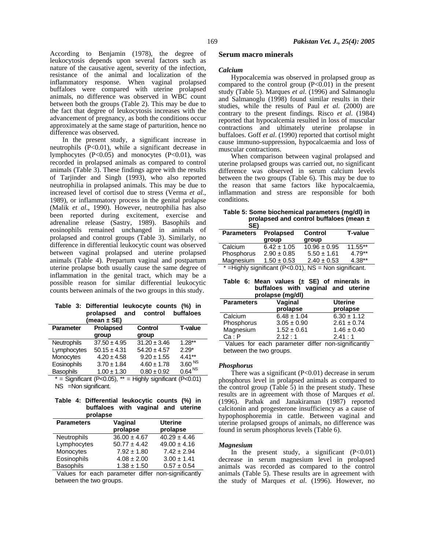According to Benjamin (1978), the degree of leukocytosis depends upon several factors such as nature of the causative agent, severity of the infection, resistance of the animal and localization of the inflammatory response. When vaginal prolapsed buffaloes were compared with uterine prolapsed animals, no difference was observed in WBC count between both the groups (Table 2). This may be due to the fact that degree of leukocytosis increases with the advancement of pregnancy, as both the conditions occur approximately at the same stage of parturition, hence no difference was observed.

In the present study, a significant increase in neutrophils (P<0.01), while a significant decrease in lymphocytes (P<0.05) and monocytes (P<0.01), was recorded in prolapsed animals as compared to control animals (Table 3). These findings agree with the results of Tarjinder and Singh (1993), who also reported neutrophilia in prolapsed animals. This may be due to increased level of cortisol due to stress (Verma *et al*., 1989), or inflammatory process in the genital prolapse (Malik *et al*., 1990). However, neutrophilia has also been reported during excitement, exercise and adrenaline release (Sastry, 1989). Basophils and eosinophils remained unchanged in animals of prolapsed and control groups (Table 3). Similarly, no difference in differential leukocytic count was observed between vaginal prolapsed and uterine prolapsed animals (Table 4). Prepartum vaginal and postpartum uterine prolapse both usually cause the same degree of inflammation in the genital tract, which may be a possible reason for similar differential leukocytic counts between animals of the two groups in this study.

|  | Table 3: Differential leukocyte counts (%) in |  |  |  |
|--|-----------------------------------------------|--|--|--|
|  | prolapsed and control buffaloes               |  |  |  |
|  | (mean $\pm$ SE)                               |  |  |  |

| ובט ב ווסטוון (                                                                                                                                                                                                                                                                                                                                                                                                                                                                                                                                                                                                                                                                 |                  |                  |                    |  |  |
|---------------------------------------------------------------------------------------------------------------------------------------------------------------------------------------------------------------------------------------------------------------------------------------------------------------------------------------------------------------------------------------------------------------------------------------------------------------------------------------------------------------------------------------------------------------------------------------------------------------------------------------------------------------------------------|------------------|------------------|--------------------|--|--|
| <b>Parameter</b>                                                                                                                                                                                                                                                                                                                                                                                                                                                                                                                                                                                                                                                                | <b>Prolapsed</b> | <b>Control</b>   | <b>T-value</b>     |  |  |
|                                                                                                                                                                                                                                                                                                                                                                                                                                                                                                                                                                                                                                                                                 | group            | group            |                    |  |  |
| <b>Neutrophils</b>                                                                                                                                                                                                                                                                                                                                                                                                                                                                                                                                                                                                                                                              | $37.50 \pm 4.95$ | $31.20 \pm 3.46$ | $1.28**$           |  |  |
| Lymphocytes                                                                                                                                                                                                                                                                                                                                                                                                                                                                                                                                                                                                                                                                     | $50.15 \pm 4.31$ | $54.20 \pm 4.57$ | $2.29*$            |  |  |
| Monocytes                                                                                                                                                                                                                                                                                                                                                                                                                                                                                                                                                                                                                                                                       | $4.20 \pm 4.58$  | $9.20 \pm 1.55$  | $4.41***$          |  |  |
| Eosinophils                                                                                                                                                                                                                                                                                                                                                                                                                                                                                                                                                                                                                                                                     | $3.70 \pm 1.84$  | $4.60 \pm 1.78$  | 3.60 <sup>NS</sup> |  |  |
| Basophils                                                                                                                                                                                                                                                                                                                                                                                                                                                                                                                                                                                                                                                                       | $1.00 \pm 1.30$  | $0.80 \pm 0.92$  | 0.64 <sup>NS</sup> |  |  |
| $\mathcal{O}$ $\mathcal{O}$ $\mathcal{O}$ $\mathcal{O}$ $\mathcal{O}$ $\mathcal{O}$ $\mathcal{O}$ $\mathcal{O}$ $\mathcal{O}$ $\mathcal{O}$ $\mathcal{O}$ $\mathcal{O}$ $\mathcal{O}$ $\mathcal{O}$ $\mathcal{O}$ $\mathcal{O}$ $\mathcal{O}$ $\mathcal{O}$ $\mathcal{O}$ $\mathcal{O}$ $\mathcal{O}$ $\mathcal{O}$ $\mathcal{O}$ $\mathcal{O}$ $\mathcal{$<br>$\mathbf{r}$ . $\mathbf{r}$ . $\mathbf{r}$ . $\mathbf{r}$ . $\mathbf{r}$ . $\mathbf{r}$ . $\mathbf{r}$ . $\mathbf{r}$ . $\mathbf{r}$ . $\mathbf{r}$ . $\mathbf{r}$ . $\mathbf{r}$ . $\mathbf{r}$ . $\mathbf{r}$ . $\mathbf{r}$ . $\mathbf{r}$ . $\mathbf{r}$ . $\mathbf{r}$ . $\mathbf{r}$ . $\mathbf{r}$ .<br>÷ |                  |                  |                    |  |  |

 $=$  Significant (P<0.05), \*\*  $=$  Highly significant (P<0.01) NS =Non significant.

### **Table 4: Differential leukocytic counts (%) in buffaloes with vaginal and uterine prolapse**

| <b>Parameters</b>  | Vaginal<br>prolapse | <b>Uterine</b><br>prolapse |
|--------------------|---------------------|----------------------------|
| <b>Neutrophils</b> | $36.00 \pm 4.67$    | $40.29 \pm 4.46$           |
| Lymphocytes        | $50.77 \pm 4.42$    | $49.00 \pm 4.16$           |
| Monocytes          | $7.92 \pm 1.80$     | $7.42 \pm 2.94$            |
| Eosinophils        | $4.08 \pm 2.00$     | $3.00 \pm 1.41$            |
| <b>Basophils</b>   | $1.38 \pm 1.50$     | $0.57 \pm 0.54$            |

Values for each parameter differ non-significantly between the two groups.

### **Serum macro minerals**

#### *Calcium*

Hypocalcemia was observed in prolapsed group as compared to the control group  $(P<0.01)$  in the present study (Table 5). Marques *et al*. (1996) and Salmanoglu and Salmanoglu (1998) found similar results in their studies, while the results of Paul *et al*. (2000) are contrary to the present findings. Risco *et al*. (1984) reported that hypocalcemia resulted in loss of muscular contractions and ultimately uterine prolapse in buffaloes. Goff *et al*. (1990) reported that cortisol might cause immuno-suppression, hypocalcaemia and loss of muscular contractions.

When comparison between vaginal prolapsed and uterine prolapsed groups was carried out, no significant difference was observed in serum calcium levels between the two groups (Table 6). This may be due to the reason that same factors like hypocalcaemia, inflammation and stress are responsible for both conditions.

| Table 5: Some biochemical parameters (mq/dl) in |
|-------------------------------------------------|
| prolapsed and control buffaloes (mean $\pm$     |
| SE)                                             |

| JE)               |                  |                         |                |  |
|-------------------|------------------|-------------------------|----------------|--|
| <b>Parameters</b> | <b>Prolapsed</b> | <b>Control</b>          | <b>T-value</b> |  |
|                   | group            | group                   |                |  |
| Calcium           | $6.42 \pm 1.05$  | $10.96 \pm 0.95$        | $11.55**$      |  |
| Phosphorus        | $2.90 \pm 0.85$  | $5.50 \pm 1.61$         | $4.79**$       |  |
| Magnesium         | $1.50 \pm 0.53$  | $2.40 \pm 0.53$         | $4.38**$       |  |
|                   |                  | $NIC = Non$ oignificant |                |  |

 $=$  Highly significant (P<0.01), NS  $=$  Non significant.

|  | Table 6: Mean values $(\pm$ SE) of minerals in |  |  |  |
|--|------------------------------------------------|--|--|--|
|  | buffaloes with vaginal and uterine             |  |  |  |
|  | prolapse (mg/dl)                               |  |  |  |

| proiapsc (my/ur)  |                     |                            |  |  |  |
|-------------------|---------------------|----------------------------|--|--|--|
| <b>Parameters</b> | Vaginal<br>prolapse | <b>Uterine</b><br>prolapse |  |  |  |
| Calcium           | $6.48 \pm 1.04$     | $6.30 \pm 1.12$            |  |  |  |
| Phosphorus        | $3.05 \pm 0.90$     | $2.61 \pm 0.74$            |  |  |  |
| Magnesium         | $1.52 \pm 0.61$     | $1.46 \pm 0.40$            |  |  |  |
| Ca : P            | 2.12:1              | 2.41:1                     |  |  |  |

Values for each parameter differ non-significantly between the two groups.

### *Phosphorus*

There was a significant  $(P<0.01)$  decrease in serum phosphorus level in prolapsed animals as compared to the control group (Table  $\bar{5}$ ) in the present study. These results are in agreement with those of Marques *et al*. (1996). Pathak and Janakiraman (1987) reported calcitonin and progesterone insufficiency as a cause of hypophosphoremia in cattle. Between vaginal and uterine prolapsed groups of animals, no difference was found in serum phosphorus levels (Table 6).

#### *Magnesium*

In the present study, a significant  $(P<0.01)$ decrease in serum magnesium level in prolapsed animals was recorded as compared to the control animals (Table 5). These results are in agreement with the study of Marques *et al*. (1996). However, no